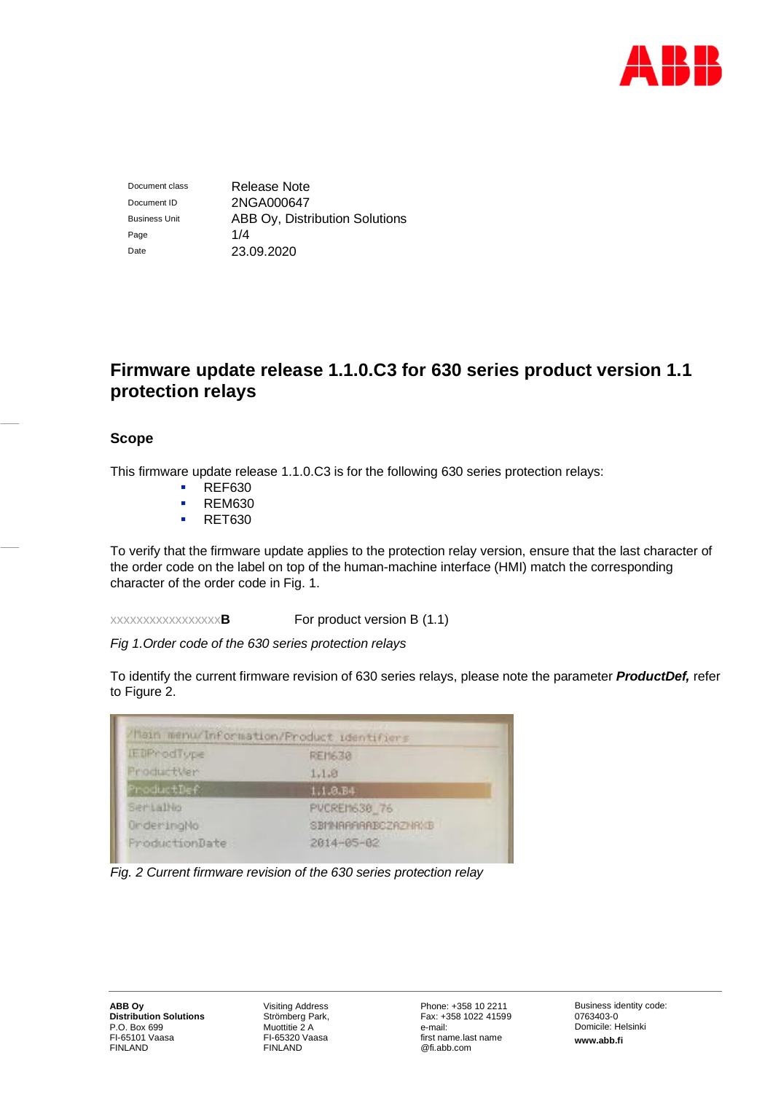

Document class Release Note Document ID 2NGA000647 Business Unit **ABB Oy, Distribution Solutions** Page 1/4 Date 23.09.2020

# **Firmware update release 1.1.0.C3 for 630 series product version 1.1 protection relays**

# **Scope**

This firmware update release 1.1.0.C3 is for the following 630 series protection relays:

- **REF630**
- **REM630**
- **RET630**

To verify that the firmware update applies to the protection relay version, ensure that the last character of the order code on the label on top of the human-machine interface (HMI) match the corresponding character of the order code in Fig. 1.

xxxxxxxxxxxxxxxxx**B** For product version B (1.1)

*Fig 1.Order code of the 630 series protection relays*

To identify the current firmware revision of 630 series relays, please note the parameter *ProductDef,* refer to Figure 2.



*Fig. 2 Current firmware revision of the 630 series protection relay*

Visiting Address Strömberg Park, Muottitie 2 A FI-65320 Vaasa FINLAND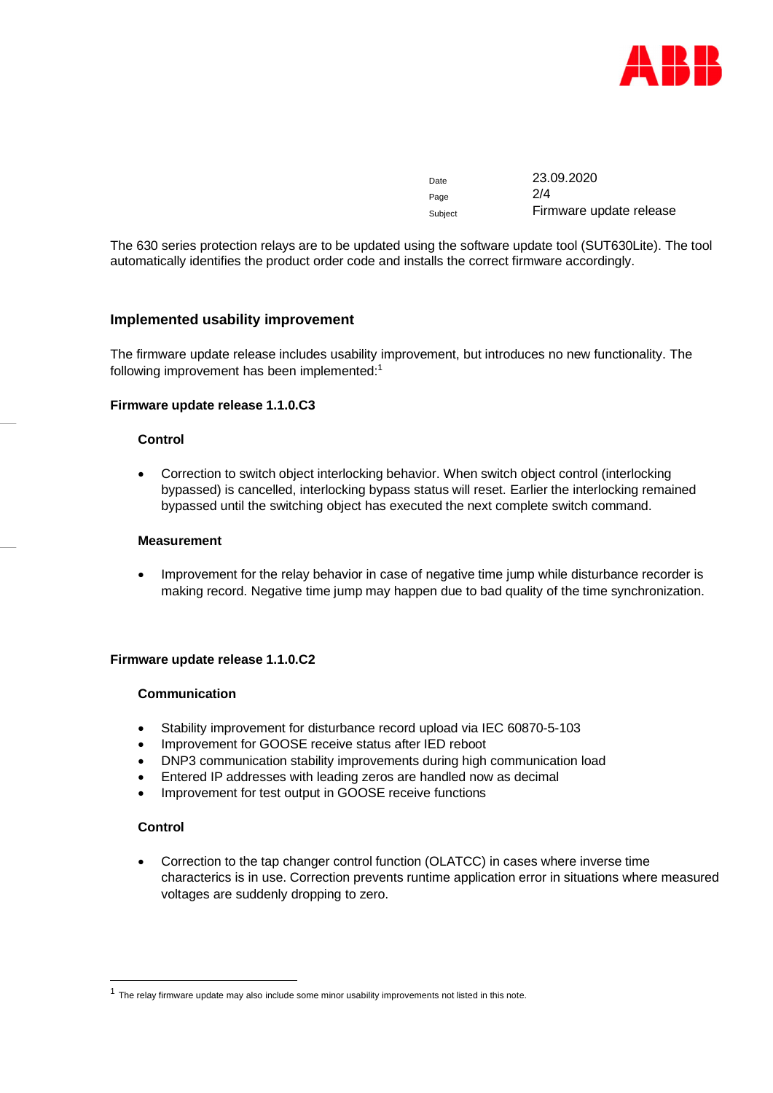

| Date    | 23.09.2020              |
|---------|-------------------------|
| Page    | 2/4                     |
| Subject | Firmware update release |

The 630 series protection relays are to be updated using the software update tool (SUT630Lite). The tool automatically identifies the product order code and installs the correct firmware accordingly.

# **Implemented usability improvement**

The firmware update release includes usability improvement, but introduces no new functionality. The following improvement has been implemented:<sup>[1](#page-1-0)</sup>

# **Firmware update release 1.1.0.C3**

#### **Control**

 Correction to switch object interlocking behavior. When switch object control (interlocking bypassed) is cancelled, interlocking bypass status will reset. Earlier the interlocking remained bypassed until the switching object has executed the next complete switch command.

#### **Measurement**

 Improvement for the relay behavior in case of negative time jump while disturbance recorder is making record. Negative time jump may happen due to bad quality of the time synchronization.

## **Firmware update release 1.1.0.C2**

# **Communication**

- Stability improvement for disturbance record upload via IEC 60870-5-103
- Improvement for GOOSE receive status after IED reboot
- DNP3 communication stability improvements during high communication load
- Entered IP addresses with leading zeros are handled now as decimal
- Improvement for test output in GOOSE receive functions

#### **Control**

 Correction to the tap changer control function (OLATCC) in cases where inverse time characterics is in use. Correction prevents runtime application error in situations where measured voltages are suddenly dropping to zero.

<span id="page-1-0"></span> $<sup>1</sup>$  The relay firmware update may also include some minor usability improvements not listed in this note.</sup>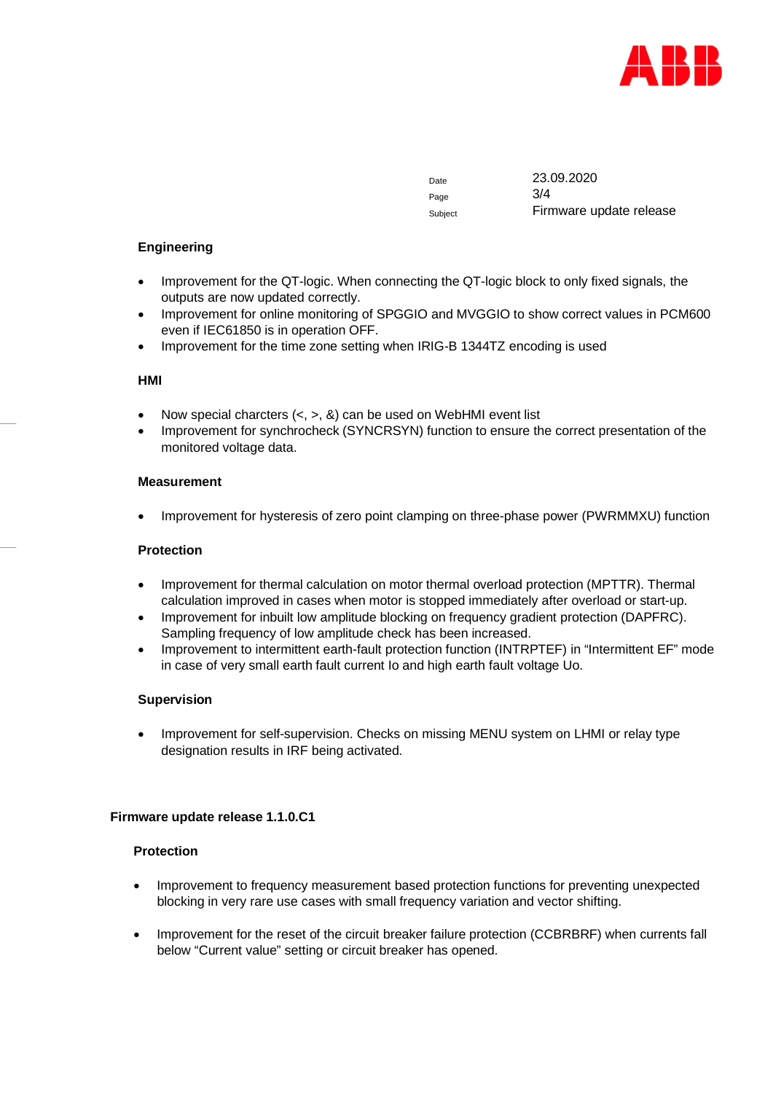

Page 3/4

Date 23.09.2020 Subject Firmware update release

# **Engineering**

- Improvement for the QT-logic. When connecting the QT-logic block to only fixed signals, the outputs are now updated correctly.
- Improvement for online monitoring of SPGGIO and MVGGIO to show correct values in PCM600 even if IEC61850 is in operation OFF.
- Improvement for the time zone setting when IRIG-B 1344TZ encoding is used

#### **HMI**

- Now special charcters  $(<, >, \&)$  can be used on WebHMI event list
- Improvement for synchrocheck (SYNCRSYN) function to ensure the correct presentation of the monitored voltage data.

#### **Measurement**

Improvement for hysteresis of zero point clamping on three-phase power (PWRMMXU) function

#### **Protection**

- Improvement for thermal calculation on motor thermal overload protection (MPTTR). Thermal calculation improved in cases when motor is stopped immediately after overload or start-up.
- Improvement for inbuilt low amplitude blocking on frequency gradient protection (DAPFRC). Sampling frequency of low amplitude check has been increased.
- Improvement to intermittent earth-fault protection function (INTRPTEF) in "Intermittent EF" mode in case of very small earth fault current Io and high earth fault voltage Uo.

#### **Supervision**

• Improvement for self-supervision. Checks on missing MENU system on LHMI or relay type designation results in IRF being activated.

#### **Firmware update release 1.1.0.C1**

# **Protection**

- Improvement to frequency measurement based protection functions for preventing unexpected blocking in very rare use cases with small frequency variation and vector shifting.
- Improvement for the reset of the circuit breaker failure protection (CCBRBRF) when currents fall below "Current value" setting or circuit breaker has opened.